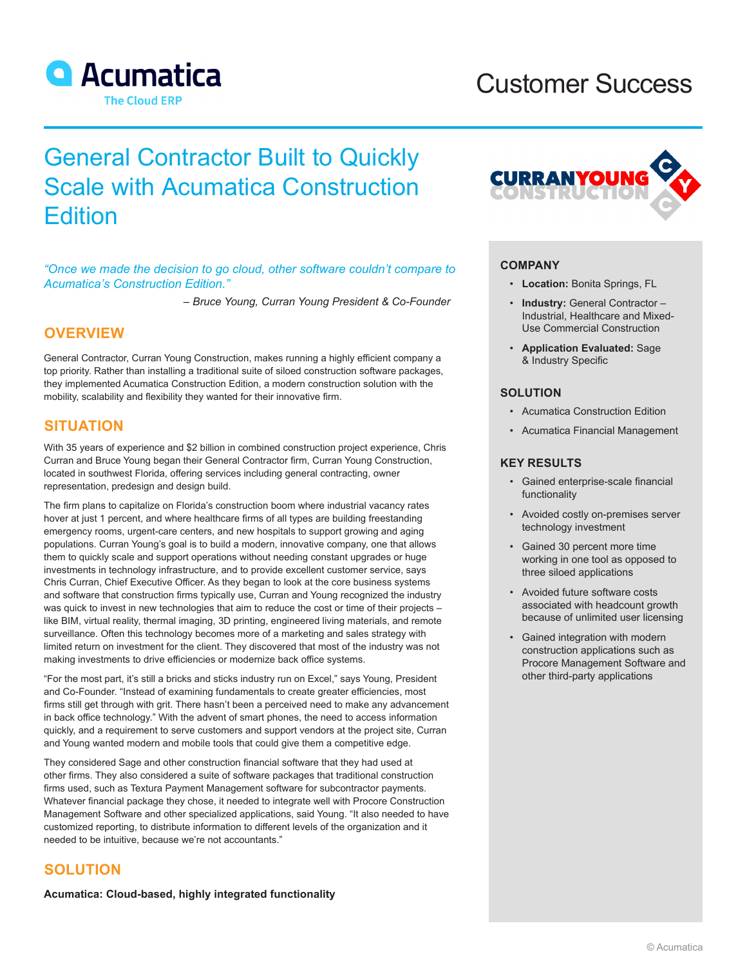

# Customer Success

# General Contractor Built to Quickly Scale with Acumatica Construction **Edition**

*"Once we made the decision to go cloud, other software couldn't compare to Acumatica's Construction Edition."*

*– Bruce Young, Curran Young President & Co-Founder*

# **OVERVIEW**

General Contractor, Curran Young Construction, makes running a highly efficient company a top priority. Rather than installing a traditional suite of siloed construction software packages, they implemented Acumatica Construction Edition, a modern construction solution with the mobility, scalability and flexibility they wanted for their innovative firm.

# **SITUATION**

With 35 years of experience and \$2 billion in combined construction project experience, Chris Curran and Bruce Young began their General Contractor firm, Curran Young Construction, located in southwest Florida, offering services including general contracting, owner representation, predesign and design build.

The firm plans to capitalize on Florida's construction boom where industrial vacancy rates hover at just 1 percent, and where healthcare firms of all types are building freestanding emergency rooms, urgent-care centers, and new hospitals to support growing and aging populations. Curran Young's goal is to build a modern, innovative company, one that allows them to quickly scale and support operations without needing constant upgrades or huge investments in technology infrastructure, and to provide excellent customer service, says Chris Curran, Chief Executive Officer. As they began to look at the core business systems and software that construction firms typically use, Curran and Young recognized the industry was quick to invest in new technologies that aim to reduce the cost or time of their projects – like BIM, virtual reality, thermal imaging, 3D printing, engineered living materials, and remote surveillance. Often this technology becomes more of a marketing and sales strategy with limited return on investment for the client. They discovered that most of the industry was not making investments to drive efficiencies or modernize back office systems.

"For the most part, it's still a bricks and sticks industry run on Excel," says Young, President and Co-Founder. "Instead of examining fundamentals to create greater efficiencies, most firms still get through with grit. There hasn't been a perceived need to make any advancement in back office technology." With the advent of smart phones, the need to access information quickly, and a requirement to serve customers and support vendors at the project site, Curran and Young wanted modern and mobile tools that could give them a competitive edge.

They considered Sage and other construction financial software that they had used at other firms. They also considered a suite of software packages that traditional construction firms used, such as Textura Payment Management software for subcontractor payments. Whatever financial package they chose, it needed to integrate well with Procore Construction Management Software and other specialized applications, said Young. "It also needed to have customized reporting, to distribute information to different levels of the organization and it needed to be intuitive, because we're not accountants."

## **SOLUTION**

**Acumatica: Cloud-based, highly integrated functionality**



## **COMPANY**

- **Location:** Bonita Springs, FL
- **Industry:** General Contractor Industrial, Healthcare and Mixed-Use Commercial Construction
- **Application Evaluated:** Sage & Industry Specific

## **SOLUTION**

- Acumatica Construction Edition
- Acumatica Financial Management

## **KEY RESULTS**

- Gained enterprise-scale financial functionality
- Avoided costly on-premises server technology investment
- Gained 30 percent more time working in one tool as opposed to three siloed applications
- Avoided future software costs associated with headcount growth because of unlimited user licensing
- Gained integration with modern construction applications such as Procore Management Software and other third-party applications